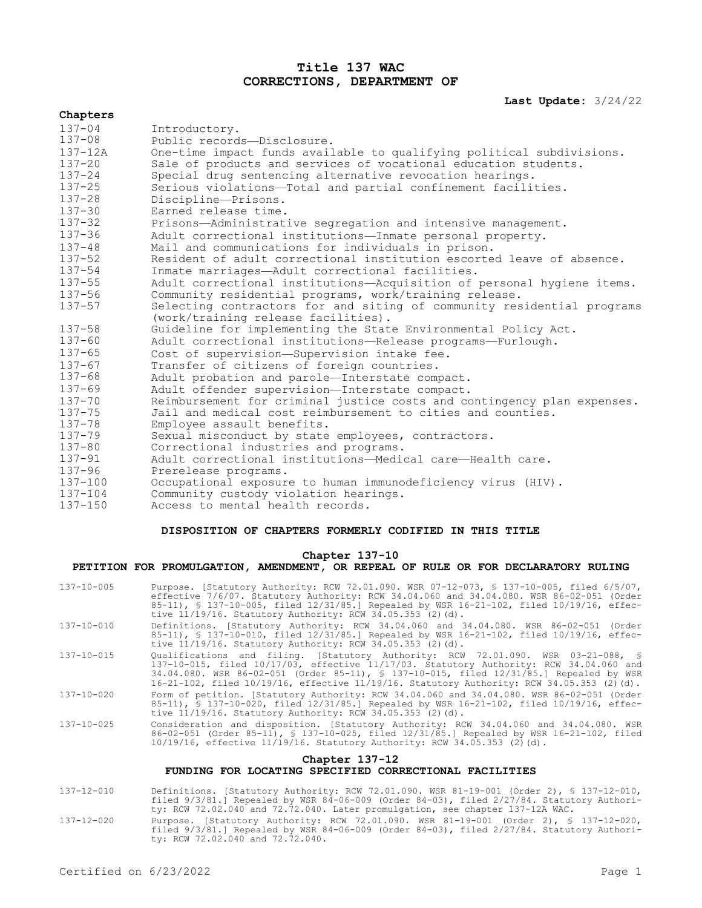## **Title 137 WAC CORRECTIONS, DEPARTMENT OF**

## **Last Update:** 3/24/22

| Chapters    |                                                                         |
|-------------|-------------------------------------------------------------------------|
| $137 - 04$  | Introductory.                                                           |
| $137 - 08$  | Public records-Disclosure.                                              |
| $137 - 12A$ | One-time impact funds available to qualifying political subdivisions.   |
| $137 - 20$  | Sale of products and services of vocational education students.         |
| $137 - 24$  | Special drug sentencing alternative revocation hearings.                |
| $137 - 25$  | Serious violations-Total and partial confinement facilities.            |
| $137 - 28$  | Discipline-Prisons.                                                     |
| $137 - 30$  | Earned release time.                                                    |
| $137 - 32$  | Prisons-Administrative segregation and intensive management.            |
| $137 - 36$  | Adult correctional institutions-Inmate personal property.               |
| $137 - 48$  | Mail and communications for individuals in prison.                      |
| $137 - 52$  | Resident of adult correctional institution escorted leave of absence.   |
| $137 - 54$  | Inmate marriages-Adult correctional facilities.                         |
| $137 - 55$  | Adult correctional institutions-Acquisition of personal hygiene items.  |
| $137 - 56$  | Community residential programs, work/training release.                  |
| $137 - 57$  | Selecting contractors for and siting of community residential programs  |
|             | (work/training release facilities).                                     |
| $137 - 58$  | Guideline for implementing the State Environmental Policy Act.          |
| $137 - 60$  | Adult correctional institutions-Release programs-Furlough.              |
| $137 - 65$  | Cost of supervision-Supervision intake fee.                             |
| $137 - 67$  | Transfer of citizens of foreign countries.                              |
| $137 - 68$  | Adult probation and parole-Interstate compact.                          |
| $137 - 69$  | Adult offender supervision-Interstate compact.                          |
| $137 - 70$  | Reimbursement for criminal justice costs and contingency plan expenses. |
| $137 - 75$  | Jail and medical cost reimbursement to cities and counties.             |
| $137 - 78$  | Employee assault benefits.                                              |
| $137 - 79$  | Sexual misconduct by state employees, contractors.                      |
| $137 - 80$  | Correctional industries and programs.                                   |
| $137 - 91$  | Adult correctional institutions-Medical care-Health care.               |
| $137 - 96$  | Prerelease programs.                                                    |
| $137 - 100$ | Occupational exposure to human immunodeficiency virus (HIV).            |
| $137 - 104$ | Community custody violation hearings.                                   |
| $137 - 150$ | Access to mental health records.                                        |

## **DISPOSITION OF CHAPTERS FORMERLY CODIFIED IN THIS TITLE**

#### **Chapter 137-10**

# **PETITION FOR PROMULGATION, AMENDMENT, OR REPEAL OF RULE OR FOR DECLARATORY RULING**

| $137 - 10 - 005$                                                         | Purpose. [Statutory Authority: RCW 72.01.090. WSR 07-12-073, § 137-10-005, filed 6/5/07,<br>effective 7/6/07. Statutory Authority: RCW 34.04.060 and 34.04.080. WSR 86-02-051 (Order<br>85-11), § 137-10-005, filed 12/31/85.] Repealed by WSR 16-21-102, filed 10/19/16, effec-<br>tive $11/19/16$ . Statutory Authority: RCW 34.05.353 (2)(d).                  |  |
|--------------------------------------------------------------------------|-------------------------------------------------------------------------------------------------------------------------------------------------------------------------------------------------------------------------------------------------------------------------------------------------------------------------------------------------------------------|--|
| $137 - 10 - 010$                                                         | Definitions. [Statutory Authority: RCW 34.04.060 and 34.04.080. WSR 86-02-051 (Order<br>85-11), § 137-10-010, filed 12/31/85.] Repealed by WSR 16-21-102, filed 10/19/16, effec-<br>tive $11/19/16$ . Statutory Authority: RCW 34.05.353 (2)(d).                                                                                                                  |  |
| $137 - 10 - 015$                                                         | Oualifications and filing. [Statutory Authority: RCW 72.01.090. WSR 03-21-088, §<br>137-10-015, filed 10/17/03, effective 11/17/03. Statutory Authority: RCW 34.04.060 and<br>34.04.080. WSR 86-02-051 (Order 85-11), § 137-10-015, filed 12/31/85.] Repealed by WSR<br>16-21-102, filed 10/19/16, effective 11/19/16. Statutory Authority: RCW 34.05.353 (2)(d). |  |
| 137-10-020                                                               | Form of petition. [Statutory Authority: RCW 34.04.060 and 34.04.080. WSR 86-02-051 (Order<br>85-11), § 137-10-020, filed 12/31/85.] Repealed by WSR 16-21-102, filed 10/19/16, effec-<br>tive $11/19/16$ . Statutory Authority: RCW 34.05.353 (2)(d).                                                                                                             |  |
| $137 - 10 - 025$                                                         | Consideration and disposition. [Statutory Authority: RCW 34.04.060 and 34.04.080. WSR<br>86-02-051 (Order 85-11), § 137-10-025, filed 12/31/85.] Repealed by WSR 16-21-102, filed<br>10/19/16, effective 11/19/16. Statutory Authority: RCW 34.05.353 (2)(d).                                                                                                     |  |
| Chapter 137-12<br>FUNDING FOR LOCATING SPECIFIED CORRECTIONAL FACILITIES |                                                                                                                                                                                                                                                                                                                                                                   |  |
| 1 2 7 1 2 2 1 2 1 2                                                      | neficializes - Fabellizes activities nam 70,01,000, man 01,10,001,70 december 01, 5,107,10,010                                                                                                                                                                                                                                                                    |  |

- 137-12-010 Definitions. [Statutory Authority: RCW 72.01.090. WSR 81-19-001 (Order 2), § 137-12-010, filed 9/3/81.] Repealed by WSR 84-06-009 (Order 84-03), filed 2/27/84. Statutory Authority: RCW 72.02.040 and 72.72.040. Later promulgation, see chapter 137-12A WAC.
- 137-12-020 Purpose. [Statutory Authority: RCW 72.01.090. WSR 81-19-001 (Order 2), § 137-12-020, filed 9/3/81.] Repealed by WSR 84-06-009 (Order 84-03), filed 2/27/84. Statutory Authority: RCW 72.02.040 and 72.72.040.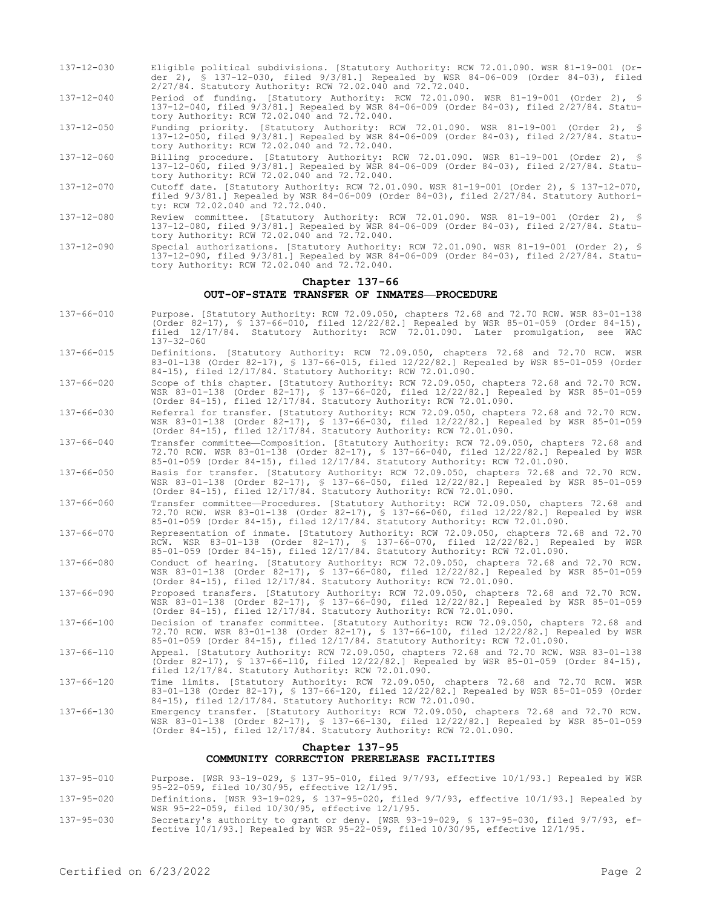- 137-12-030 Eligible political subdivisions. [Statutory Authority: RCW 72.01.090. WSR 81-19-001 (Order 2), § 137-12-030, filed 9/3/81.] Repealed by WSR 84-06-009 (Order 84-03), filed 2/27/84. Statutory Authority: RCW 72.02.040 and 72.72.040.
- 137-12-040 Period of funding. [Statutory Authority: RCW 72.01.090. WSR 81-19-001 (Order 2), § 137-12-040, filed 9/3/81.] Repealed by WSR 84-06-009 (Order 84-03), filed 2/27/84. Statutory Authority: RCW 72.02.040 and 72.72.040.
- 137-12-050 Funding priority. [Statutory Authority: RCW 72.01.090. WSR 81-19-001 (Order 2), § 137-12-050, filed 9/3/81.] Repealed by WSR 84-06-009 (Order 84-03), filed 2/27/84. Statutory Authority: RCW 72.02.040 and 72.72.040.
- 137-12-060 Billing procedure. [Statutory Authority: RCW 72.01.090. WSR 81-19-001 (Order 2), § 137-12-060, filed 9/3/81.] Repealed by WSR 84-06-009 (Order 84-03), filed 2/27/84. Statutory Authority: RCW 72.02.040 and 72.72.040.
- 137-12-070 Cutoff date. [Statutory Authority: RCW 72.01.090. WSR 81-19-001 (Order 2), § 137-12-070, filed 9/3/81.] Repealed by WSR 84-06-009 (Order 84-03), filed 2/27/84. Statutory Authority: RCW 72.02.040 and 72.72.040.
- 137-12-080 Review committee. [Statutory Authority: RCW 72.01.090. WSR 81-19-001 (Order 2), § 137-12-080, filed 9/3/81.] Repealed by WSR 84-06-009 (Order 84-03), filed 2/27/84. Statutory Authority: RCW 72.02.040 and 72.72.040.
- 137-12-090 Special authorizations. [Statutory Authority: RCW 72.01.090. WSR 81-19-001 (Order 2), § 137-12-090, filed 9/3/81.] Repealed by WSR 84-06-009 (Order 84-03), filed 2/27/84. Statutory Authority: RCW 72.02.040 and 72.72.040.

#### **Chapter 137-66 OUT-OF-STATE TRANSFER OF INMATES—PROCEDURE**

- 137-66-010 Purpose. [Statutory Authority: RCW 72.09.050, chapters 72.68 and 72.70 RCW. WSR 83-01-138 (Order 82-17), § 137-66-010, filed 12/22/82.] Repealed by WSR 85-01-059 (Order 84-15), filed 12/17/84. Statutory Authority: RCW 72.01.090. Later promulgation, see WAC 137-32-060
- 137-66-015 Definitions. [Statutory Authority: RCW 72.09.050, chapters 72.68 and 72.70 RCW. WSR 83-01-138 (Order 82-17), § 137-66-015, filed 12/22/82.] Repealed by WSR 85-01-059 (Order 84-15), filed 12/17/84. Statutory Authority: RCW 72.01.090.
- 137-66-020 Scope of this chapter. [Statutory Authority: RCW 72.09.050, chapters 72.68 and 72.70 RCW. WSR 83-01-138 (Order 82-17), § 137-66-020, filed 12/22/82.] Repealed by WSR 85-01-059 (Order 84-15), filed 12/17/84. Statutory Authority: RCW 72.01.090.
- 137-66-030 Referral for transfer. [Statutory Authority: RCW 72.09.050, chapters 72.68 and 72.70 RCW. WSR 83-01-138 (Order 82-17), § 137-66-030, filed 12/22/82.] Repealed by WSR 85-01-059 (Order 84-15), filed 12/17/84. Statutory Authority: RCW 72.01.090.
- 137-66-040 Transfer committee—Composition. [Statutory Authority: RCW 72.09.050, chapters 72.68 and 72.70 RCW. WSR 83-01-138 (Order 82-17), § 137-66-040, filed 12/22/82.] Repealed by WSR 85-01-059 (Order 84-15), filed 12/17/84. Statutory Authority: RCW 72.01.090.
- 137-66-050 Basis for transfer. [Statutory Authority: RCW 72.09.050, chapters 72.68 and 72.70 RCW. WSR 83-01-138 (Order 82-17), § 137-66-050, filed 12/22/82.] Repealed by WSR 85-01-059 (Order 84-15), filed 12/17/84. Statutory Authority: RCW 72.01.090.
- 137-66-060 Transfer committee—Procedures. [Statutory Authority: RCW 72.09.050, chapters 72.68 and 72.70 RCW. WSR 83-01-138 (Order 82-17), § 137-66-060, filed 12/22/82.] Repealed by WSR 85-01-059 (Order 84-15), filed 12/17/84. Statutory Authority: RCW 72.01.090.
- 137-66-070 Representation of inmate. [Statutory Authority: RCW 72.09.050, chapters 72.68 and 72.70 RCW. WSR 83-01-138 (Order 82-17), § 137-66-070, filed 12/22/82.] Repealed by WSR 85-01-059 (Order 84-15), filed 12/17/84. Statutory Authority: RCW 72.01.090.
- 137-66-080 Conduct of hearing. [Statutory Authority: RCW 72.09.050, chapters 72.68 and 72.70 RCW. WSR 83-01-138 (Order 82-17), § 137-66-080, filed 12/22/82.] Repealed by WSR 85-01-059 (Order 84-15), filed 12/17/84. Statutory Authority: RCW 72.01.090.
- 137-66-090 Proposed transfers. [Statutory Authority: RCW 72.09.050, chapters 72.68 and 72.70 RCW. WSR 83-01-138 (Order 82-17), § 137-66-090, filed 12/22/82.] Repealed by WSR 85-01-059 (Order 84-15), filed 12/17/84. Statutory Authority: RCW 72.01.090.
- 137-66-100 Decision of transfer committee. [Statutory Authority: RCW 72.09.050, chapters 72.68 and 72.70 RCW. WSR 83-01-138 (Order 82-17), § 137-66-100, filed 12/22/82.] Repealed by WSR 85-01-059 (Order 84-15), filed 12/17/84. Statutory Authority: RCW 72.01.090.
- 137-66-110 Appeal. [Statutory Authority: RCW 72.09.050, chapters 72.68 and 72.70 RCW. WSR 83-01-138 (Order 82-17), § 137-66-110, filed 12/22/82.] Repealed by WSR 85-01-059 (Order 84-15), filed 12/17/84. Statutory Authority: RCW 72.01.090.
- 137-66-120 Time limits. [Statutory Authority: RCW 72.09.050, chapters 72.68 and 72.70 RCW. WSR 83-01-138 (Order 82-17), § 137-66-120, filed 12/22/82.] Repealed by WSR 85-01-059 (Order 84-15), filed 12/17/84. Statutory Authority: RCW 72.01.090.
- 137-66-130 Emergency transfer. [Statutory Authority: RCW 72.09.050, chapters 72.68 and 72.70 RCW. WSR 83-01-138 (Order 82-17), § 137-66-130, filed 12/22/82.] Repealed by WSR 85-01-059 (Order 84-15), filed 12/17/84. Statutory Authority: RCW 72.01.090.

#### **Chapter 137-95 COMMUNITY CORRECTION PRERELEASE FACILITIES**

- 137-95-010 Purpose. [WSR 93-19-029, § 137-95-010, filed 9/7/93, effective 10/1/93.] Repealed by WSR 95-22-059, filed 10/30/95, effective 12/1/95.
- 137-95-020 Definitions. [WSR 93-19-029, § 137-95-020, filed 9/7/93, effective 10/1/93.] Repealed by WSR 95-22-059, filed 10/30/95, effective 12/1/95.
- 137-95-030 Secretary's authority to grant or deny. [WSR 93-19-029, § 137-95-030, filed 9/7/93, ef-fective 10/1/93.] Repealed by WSR 95-22-059, filed 10/30/95, effective 12/1/95.